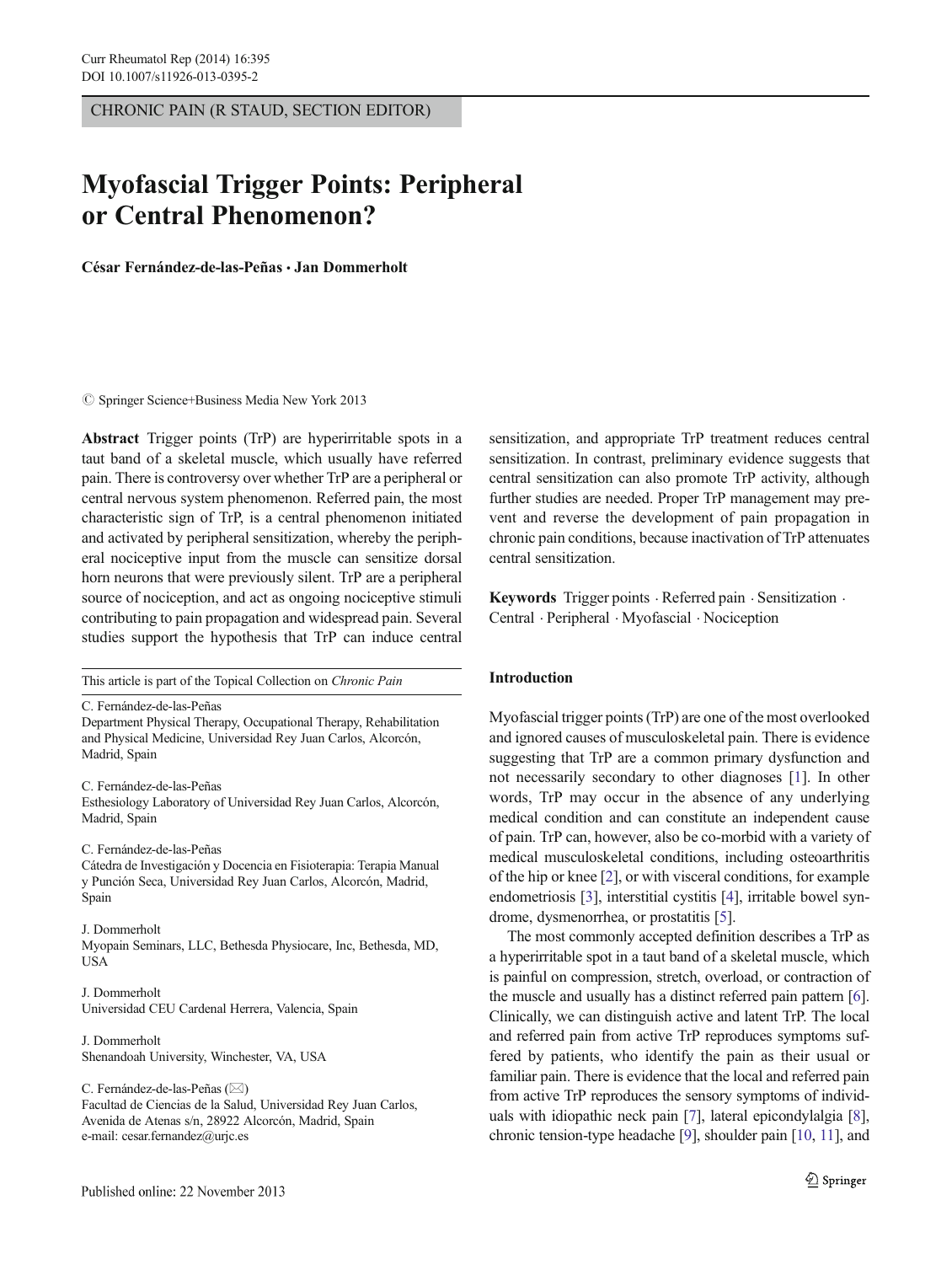CHRONIC PAIN (R STAUD, SECTION EDITOR)

# Myofascial Trigger Points: Peripheral or Central Phenomenon?

César Fernández-de-las-Peñas & Jan Dommerholt

 $\circled{c}$  Springer Science+Business Media New York 2013

Abstract Trigger points (TrP) are hyperirritable spots in a taut band of a skeletal muscle, which usually have referred pain. There is controversy over whether TrP are a peripheral or central nervous system phenomenon. Referred pain, the most characteristic sign of TrP, is a central phenomenon initiated and activated by peripheral sensitization, whereby the peripheral nociceptive input from the muscle can sensitize dorsal horn neurons that were previously silent. TrP are a peripheral source of nociception, and act as ongoing nociceptive stimuli contributing to pain propagation and widespread pain. Several studies support the hypothesis that TrP can induce central

This article is part of the Topical Collection on Chronic Pain

C. Fernández-de-las-Peñas Department Physical Therapy, Occupational Therapy, Rehabilitation and Physical Medicine, Universidad Rey Juan Carlos, Alcorcón, Madrid, Spain

C. Fernández-de-las-Peñas Esthesiology Laboratory of Universidad Rey Juan Carlos, Alcorcón,

C. Fernández-de-las-Peñas

Madrid, Spain

Cátedra de Investigación y Docencia en Fisioterapia: Terapia Manual y Punción Seca, Universidad Rey Juan Carlos, Alcorcón, Madrid, Spain

#### J. Dommerholt Myopain Seminars, LLC, Bethesda Physiocare, Inc, Bethesda, MD, **USA**

J. Dommerholt Universidad CEU Cardenal Herrera, Valencia, Spain

J. Dommerholt Shenandoah University, Winchester, VA, USA

C. Fernández-de-las-Peñas ( $\boxtimes$ )

Facultad de Ciencias de la Salud, Universidad Rey Juan Carlos, Avenida de Atenas s/n, 28922 Alcorcón, Madrid, Spain e-mail: cesar.fernandez@urjc.es

sensitization, and appropriate TrP treatment reduces central sensitization. In contrast, preliminary evidence suggests that central sensitization can also promote TrP activity, although further studies are needed. Proper TrP management may prevent and reverse the development of pain propagation in chronic pain conditions, because inactivation of TrP attenuates central sensitization.

Keywords Trigger points · Referred pain · Sensitization · Central . Peripheral . Myofascial . Nociception

# Introduction

Myofascial trigger points (TrP) are one of the most overlooked and ignored causes of musculoskeletal pain. There is evidence suggesting that TrP are a common primary dysfunction and not necessarily secondary to other diagnoses [[1\]](#page-4-0). In other words, TrP may occur in the absence of any underlying medical condition and can constitute an independent cause of pain. TrP can, however, also be co-morbid with a variety of medical musculoskeletal conditions, including osteoarthritis of the hip or knee [[2\]](#page-4-0), or with visceral conditions, for example endometriosis [\[3](#page-4-0)], interstitial cystitis [\[4](#page-4-0)], irritable bowel syndrome, dysmenorrhea, or prostatitis [\[5](#page-4-0)].

The most commonly accepted definition describes a TrP as a hyperirritable spot in a taut band of a skeletal muscle, which is painful on compression, stretch, overload, or contraction of the muscle and usually has a distinct referred pain pattern [[6\]](#page-4-0). Clinically, we can distinguish active and latent TrP. The local and referred pain from active TrP reproduces symptoms suffered by patients, who identify the pain as their usual or familiar pain. There is evidence that the local and referred pain from active TrP reproduces the sensory symptoms of individuals with idiopathic neck pain [[7\]](#page-4-0), lateral epicondylalgia [[8\]](#page-4-0), chronic tension-type headache [\[9\]](#page-4-0), shoulder pain [\[10](#page-4-0), [11](#page-4-0)], and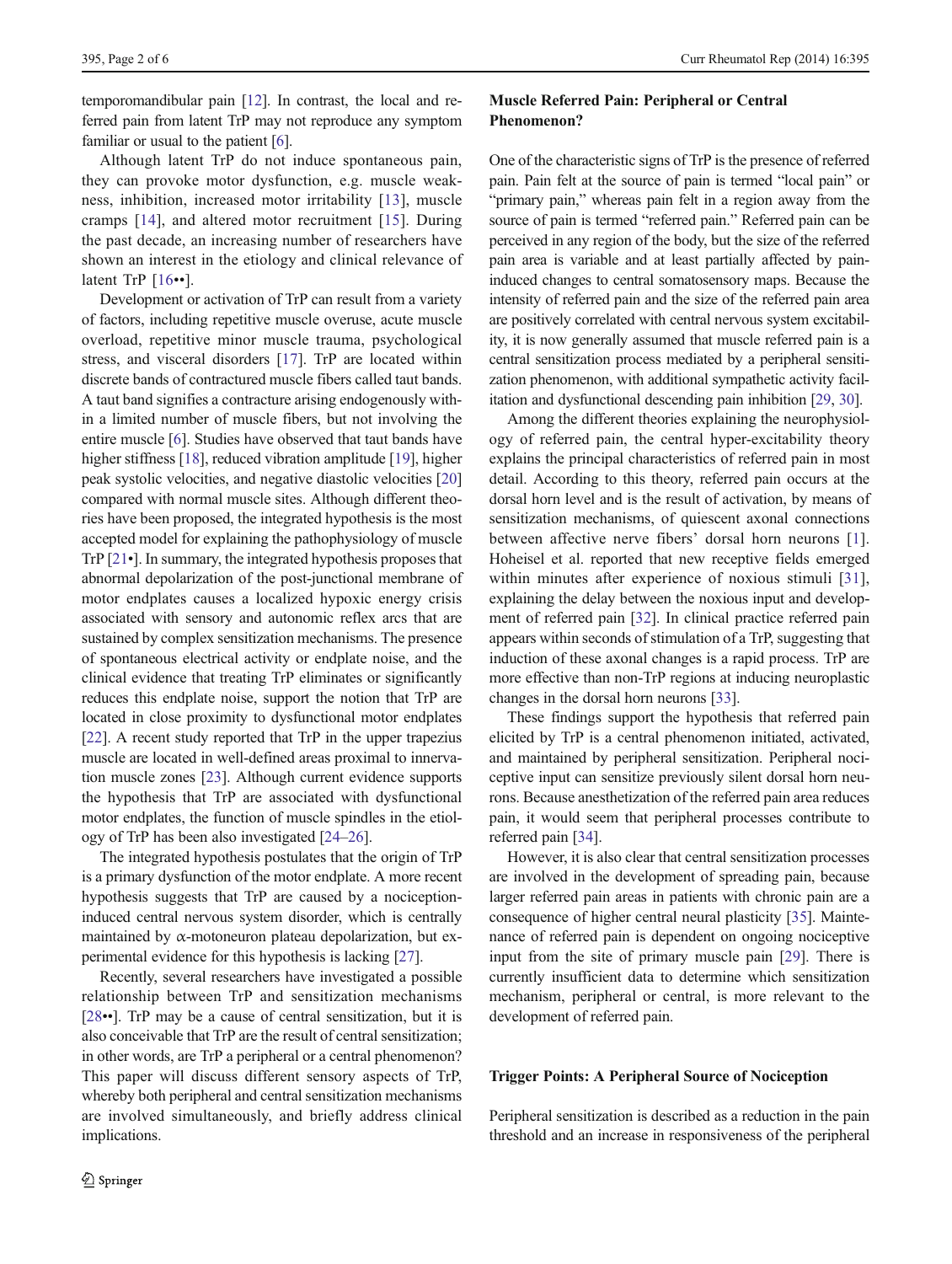temporomandibular pain [\[12](#page-4-0)]. In contrast, the local and referred pain from latent TrP may not reproduce any symptom familiar or usual to the patient [[6\]](#page-4-0).

Although latent TrP do not induce spontaneous pain, they can provoke motor dysfunction, e.g. muscle weakness, inhibition, increased motor irritability [\[13\]](#page-4-0), muscle cramps [[14\]](#page-4-0), and altered motor recruitment [\[15\]](#page-4-0). During the past decade, an increasing number of researchers have shown an interest in the etiology and clinical relevance of latent TrP [[16](#page-4-0)••].

Development or activation of TrP can result from a variety of factors, including repetitive muscle overuse, acute muscle overload, repetitive minor muscle trauma, psychological stress, and visceral disorders [\[17](#page-4-0)]. TrP are located within discrete bands of contractured muscle fibers called taut bands. A taut band signifies a contracture arising endogenously within a limited number of muscle fibers, but not involving the entire muscle [[6](#page-4-0)]. Studies have observed that taut bands have higher stiffness [\[18\]](#page-4-0), reduced vibration amplitude [[19\]](#page-4-0), higher peak systolic velocities, and negative diastolic velocities [\[20\]](#page-4-0) compared with normal muscle sites. Although different theories have been proposed, the integrated hypothesis is the most accepted model for explaining the pathophysiology of muscle TrP [\[21](#page-4-0)•]. In summary, the integrated hypothesis proposes that abnormal depolarization of the post-junctional membrane of motor endplates causes a localized hypoxic energy crisis associated with sensory and autonomic reflex arcs that are sustained by complex sensitization mechanisms. The presence of spontaneous electrical activity or endplate noise, and the clinical evidence that treating TrP eliminates or significantly reduces this endplate noise, support the notion that TrP are located in close proximity to dysfunctional motor endplates [\[22\]](#page-4-0). A recent study reported that TrP in the upper trapezius muscle are located in well-defined areas proximal to innervation muscle zones [\[23\]](#page-4-0). Although current evidence supports the hypothesis that TrP are associated with dysfunctional motor endplates, the function of muscle spindles in the etiology of TrP has been also investigated [\[24](#page-4-0)–[26\]](#page-4-0).

The integrated hypothesis postulates that the origin of TrP is a primary dysfunction of the motor endplate. A more recent hypothesis suggests that TrP are caused by a nociceptioninduced central nervous system disorder, which is centrally maintained by  $\alpha$ -motoneuron plateau depolarization, but experimental evidence for this hypothesis is lacking [[27](#page-4-0)].

Recently, several researchers have investigated a possible relationship between TrP and sensitization mechanisms [\[28](#page-4-0)••]. TrP may be a cause of central sensitization, but it is also conceivable that TrP are the result of central sensitization; in other words, are TrP a peripheral or a central phenomenon? This paper will discuss different sensory aspects of TrP, whereby both peripheral and central sensitization mechanisms are involved simultaneously, and briefly address clinical implications.

# Muscle Referred Pain: Peripheral or Central Phenomenon?

One of the characteristic signs of TrP is the presence of referred pain. Pain felt at the source of pain is termed "local pain" or "primary pain," whereas pain felt in a region away from the source of pain is termed "referred pain." Referred pain can be perceived in any region of the body, but the size of the referred pain area is variable and at least partially affected by paininduced changes to central somatosensory maps. Because the intensity of referred pain and the size of the referred pain area are positively correlated with central nervous system excitability, it is now generally assumed that muscle referred pain is a central sensitization process mediated by a peripheral sensitization phenomenon, with additional sympathetic activity facilitation and dysfunctional descending pain inhibition [\[29](#page-4-0), [30\]](#page-4-0).

Among the different theories explaining the neurophysiology of referred pain, the central hyper-excitability theory explains the principal characteristics of referred pain in most detail. According to this theory, referred pain occurs at the dorsal horn level and is the result of activation, by means of sensitization mechanisms, of quiescent axonal connections between affective nerve fibers' dorsal horn neurons [\[1](#page-4-0)]. Hoheisel et al. reported that new receptive fields emerged within minutes after experience of noxious stimuli [\[31](#page-4-0)], explaining the delay between the noxious input and development of referred pain [[32\]](#page-4-0). In clinical practice referred pain appears within seconds of stimulation of a TrP, suggesting that induction of these axonal changes is a rapid process. TrP are more effective than non-TrP regions at inducing neuroplastic changes in the dorsal horn neurons [\[33\]](#page-4-0).

These findings support the hypothesis that referred pain elicited by TrP is a central phenomenon initiated, activated, and maintained by peripheral sensitization. Peripheral nociceptive input can sensitize previously silent dorsal horn neurons. Because anesthetization of the referred pain area reduces pain, it would seem that peripheral processes contribute to referred pain [\[34](#page-4-0)].

However, it is also clear that central sensitization processes are involved in the development of spreading pain, because larger referred pain areas in patients with chronic pain are a consequence of higher central neural plasticity [\[35](#page-4-0)]. Maintenance of referred pain is dependent on ongoing nociceptive input from the site of primary muscle pain [\[29\]](#page-4-0). There is currently insufficient data to determine which sensitization mechanism, peripheral or central, is more relevant to the development of referred pain.

# Trigger Points: A Peripheral Source of Nociception

Peripheral sensitization is described as a reduction in the pain threshold and an increase in responsiveness of the peripheral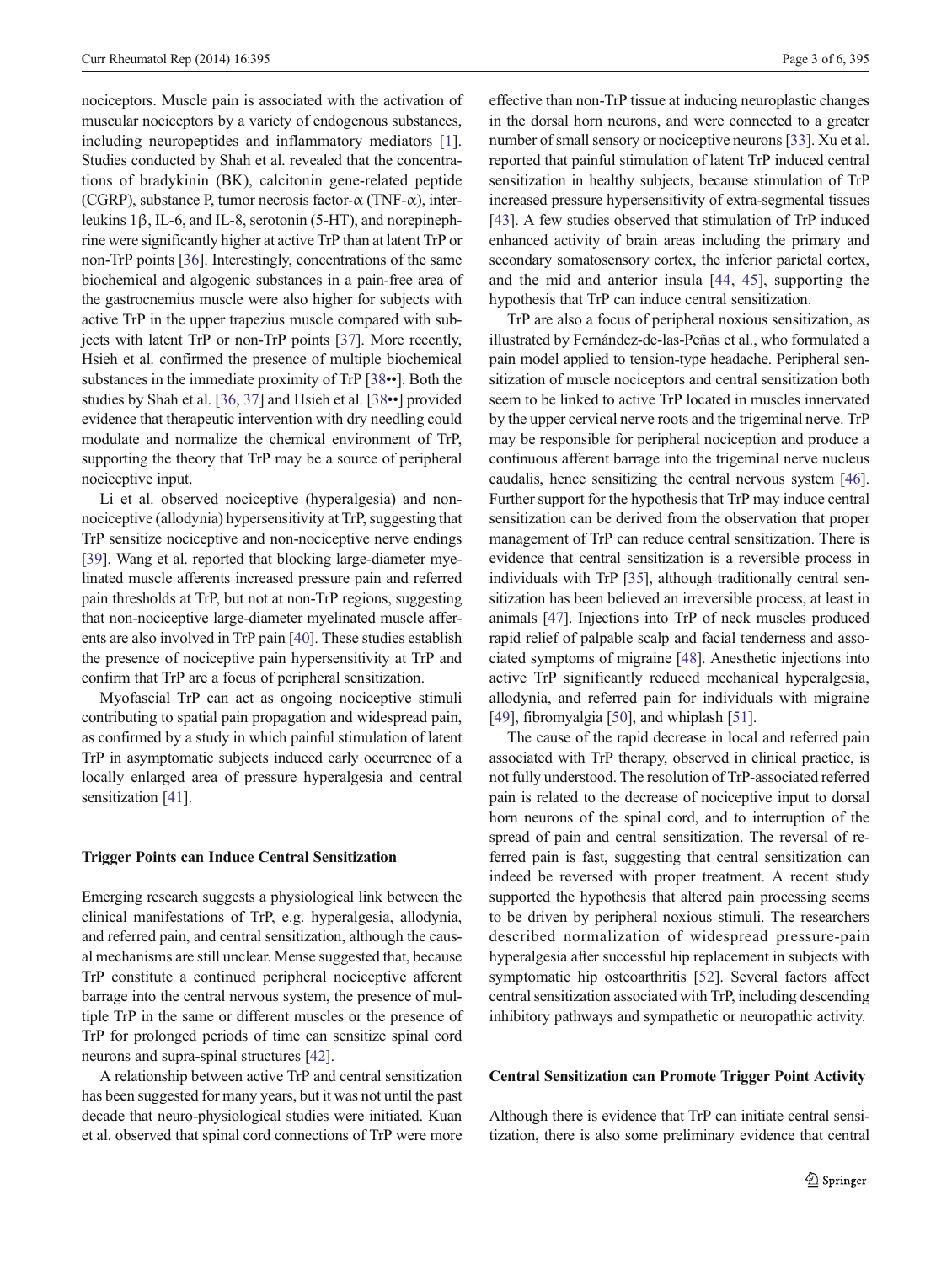nociceptors. Muscle pain is associated with the activation of muscular nociceptors by a variety of endogenous substances, including neuropeptides and inflammatory mediators [\[1](#page-4-0)]. Studies conducted by Shah et al. revealed that the concentrations of bradykinin (BK), calcitonin gene-related peptide (CGRP), substance P, tumor necrosis factor- $\alpha$  (TNF- $\alpha$ ), interleukins 1β, IL-6, and IL-8, serotonin (5-HT), and norepinephrine were significantly higher at active TrP than at latent TrP or non-TrP points [[36\]](#page-4-0). Interestingly, concentrations of the same biochemical and algogenic substances in a pain-free area of the gastrocnemius muscle were also higher for subjects with active TrP in the upper trapezius muscle compared with subjects with latent TrP or non-TrP points [[37\]](#page-4-0). More recently, Hsieh et al. confirmed the presence of multiple biochemical substances in the immediate proximity of TrP [[38](#page-4-0)••]. Both the studies by Shah et al. [[36,](#page-4-0) [37](#page-4-0)] and Hsieh et al. [[38](#page-4-0)••] provided evidence that therapeutic intervention with dry needling could modulate and normalize the chemical environment of TrP, supporting the theory that TrP may be a source of peripheral nociceptive input.

Li et al. observed nociceptive (hyperalgesia) and nonnociceptive (allodynia) hypersensitivity at TrP, suggesting that TrP sensitize nociceptive and non-nociceptive nerve endings [\[39\]](#page-5-0). Wang et al. reported that blocking large-diameter myelinated muscle afferents increased pressure pain and referred pain thresholds at TrP, but not at non-TrP regions, suggesting that non-nociceptive large-diameter myelinated muscle afferents are also involved in TrP pain [\[40\]](#page-5-0). These studies establish the presence of nociceptive pain hypersensitivity at TrP and confirm that TrP are a focus of peripheral sensitization.

Myofascial TrP can act as ongoing nociceptive stimuli contributing to spatial pain propagation and widespread pain, as confirmed by a study in which painful stimulation of latent TrP in asymptomatic subjects induced early occurrence of a locally enlarged area of pressure hyperalgesia and central sensitization [[41\]](#page-5-0).

### Trigger Points can Induce Central Sensitization

Emerging research suggests a physiological link between the clinical manifestations of TrP, e.g. hyperalgesia, allodynia, and referred pain, and central sensitization, although the causal mechanisms are still unclear. Mense suggested that, because TrP constitute a continued peripheral nociceptive afferent barrage into the central nervous system, the presence of multiple TrP in the same or different muscles or the presence of TrP for prolonged periods of time can sensitize spinal cord neurons and supra-spinal structures [\[42\]](#page-5-0).

A relationship between active TrP and central sensitization has been suggested for many years, but it was not until the past decade that neuro-physiological studies were initiated. Kuan et al. observed that spinal cord connections of TrP were more

effective than non-TrP tissue at inducing neuroplastic changes in the dorsal horn neurons, and were connected to a greater number of small sensory or nociceptive neurons [[33](#page-4-0)]. Xu et al. reported that painful stimulation of latent TrP induced central sensitization in healthy subjects, because stimulation of TrP increased pressure hypersensitivity of extra-segmental tissues [\[43](#page-5-0)]. A few studies observed that stimulation of TrP induced enhanced activity of brain areas including the primary and secondary somatosensory cortex, the inferior parietal cortex, and the mid and anterior insula [\[44,](#page-5-0) [45\]](#page-5-0), supporting the hypothesis that TrP can induce central sensitization.

TrP are also a focus of peripheral noxious sensitization, as illustrated by Fernández-de-las-Peñas et al., who formulated a pain model applied to tension-type headache. Peripheral sensitization of muscle nociceptors and central sensitization both seem to be linked to active TrP located in muscles innervated by the upper cervical nerve roots and the trigeminal nerve. TrP may be responsible for peripheral nociception and produce a continuous afferent barrage into the trigeminal nerve nucleus caudalis, hence sensitizing the central nervous system [[46\]](#page-5-0). Further support for the hypothesis that TrP may induce central sensitization can be derived from the observation that proper management of TrP can reduce central sensitization. There is evidence that central sensitization is a reversible process in individuals with TrP [\[35\]](#page-4-0), although traditionally central sensitization has been believed an irreversible process, at least in animals [[47\]](#page-5-0). Injections into TrP of neck muscles produced rapid relief of palpable scalp and facial tenderness and associated symptoms of migraine [\[48](#page-5-0)]. Anesthetic injections into active TrP significantly reduced mechanical hyperalgesia, allodynia, and referred pain for individuals with migraine [\[49](#page-5-0)], fibromyalgia [[50\]](#page-5-0), and whiplash [\[51](#page-5-0)].

The cause of the rapid decrease in local and referred pain associated with TrP therapy, observed in clinical practice, is not fully understood. The resolution of TrP-associated referred pain is related to the decrease of nociceptive input to dorsal horn neurons of the spinal cord, and to interruption of the spread of pain and central sensitization. The reversal of referred pain is fast, suggesting that central sensitization can indeed be reversed with proper treatment. A recent study supported the hypothesis that altered pain processing seems to be driven by peripheral noxious stimuli. The researchers described normalization of widespread pressure-pain hyperalgesia after successful hip replacement in subjects with symptomatic hip osteoarthritis [\[52](#page-5-0)]. Several factors affect central sensitization associated with TrP, including descending inhibitory pathways and sympathetic or neuropathic activity.

## Central Sensitization can Promote Trigger Point Activity

Although there is evidence that TrP can initiate central sensitization, there is also some preliminary evidence that central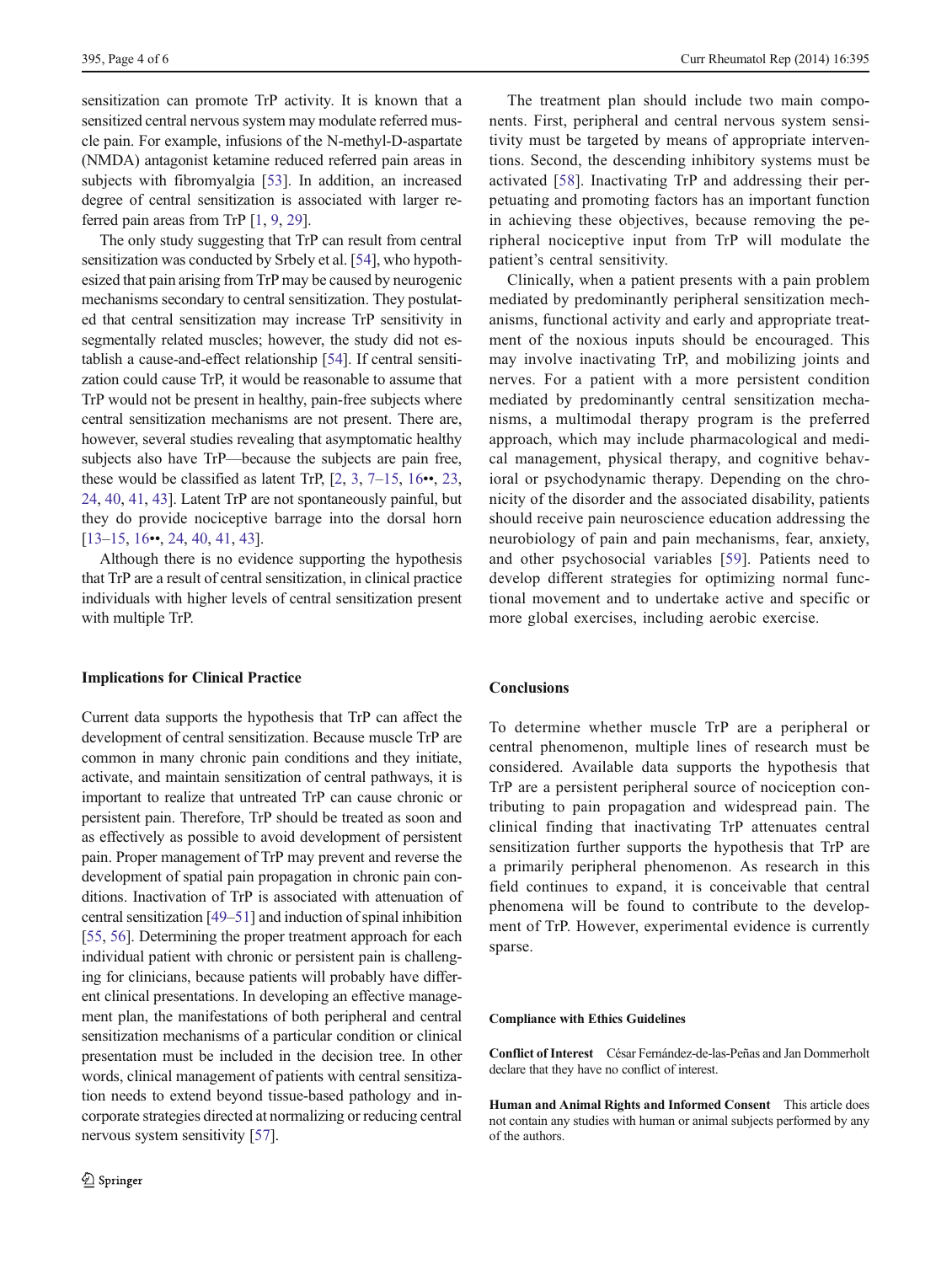sensitization can promote TrP activity. It is known that a sensitized central nervous system may modulate referred muscle pain. For example, infusions of the N-methyl-D-aspartate (NMDA) antagonist ketamine reduced referred pain areas in subjects with fibromyalgia [[53\]](#page-5-0). In addition, an increased degree of central sensitization is associated with larger referred pain areas from TrP [[1,](#page-4-0) [9,](#page-4-0) [29](#page-4-0)].

The only study suggesting that TrP can result from central sensitization was conducted by Srbely et al. [[54](#page-5-0)], who hypothesized that pain arising from TrP may be caused by neurogenic mechanisms secondary to central sensitization. They postulated that central sensitization may increase TrP sensitivity in segmentally related muscles; however, the study did not establish a cause-and-effect relationship [[54\]](#page-5-0). If central sensitization could cause TrP, it would be reasonable to assume that TrP would not be present in healthy, pain-free subjects where central sensitization mechanisms are not present. There are, however, several studies revealing that asymptomatic healthy subjects also have TrP—because the subjects are pain free, these would be classified as latent TrP,  $[2, 3, 7-15, 16 \bullet 6, 23, 7]$  $[2, 3, 7-15, 16 \bullet 6, 23, 7]$  $[2, 3, 7-15, 16 \bullet 6, 23, 7]$  $[2, 3, 7-15, 16 \bullet 6, 23, 7]$  $[2, 3, 7-15, 16 \bullet 6, 23, 7]$  $[2, 3, 7-15, 16 \bullet 6, 23, 7]$  $[2, 3, 7-15, 16 \bullet 6, 23, 7]$  $[2, 3, 7-15, 16 \bullet 6, 23, 7]$  $[2, 3, 7-15, 16 \bullet 6, 23, 7]$  $[2, 3, 7-15, 16 \bullet 6, 23, 7]$  $[2, 3, 7-15, 16 \bullet 6, 23, 7]$  $[2, 3, 7-15, 16 \bullet 6, 23, 7]$ [24,](#page-4-0) [40,](#page-5-0) [41](#page-5-0), [43](#page-5-0)]. Latent TrP are not spontaneously painful, but they do provide nociceptive barrage into the dorsal horn [\[13](#page-4-0)–[15,](#page-4-0) [16](#page-4-0)••, [24](#page-4-0), [40,](#page-5-0) [41,](#page-5-0) [43\]](#page-5-0).

Although there is no evidence supporting the hypothesis that TrP are a result of central sensitization, in clinical practice individuals with higher levels of central sensitization present with multiple TrP.

## Implications for Clinical Practice

Current data supports the hypothesis that TrP can affect the development of central sensitization. Because muscle TrP are common in many chronic pain conditions and they initiate, activate, and maintain sensitization of central pathways, it is important to realize that untreated TrP can cause chronic or persistent pain. Therefore, TrP should be treated as soon and as effectively as possible to avoid development of persistent pain. Proper management of TrP may prevent and reverse the development of spatial pain propagation in chronic pain conditions. Inactivation of TrP is associated with attenuation of central sensitization [\[49](#page-5-0)–[51\]](#page-5-0) and induction of spinal inhibition [\[55,](#page-5-0) [56\]](#page-5-0). Determining the proper treatment approach for each individual patient with chronic or persistent pain is challenging for clinicians, because patients will probably have different clinical presentations. In developing an effective management plan, the manifestations of both peripheral and central sensitization mechanisms of a particular condition or clinical presentation must be included in the decision tree. In other words, clinical management of patients with central sensitization needs to extend beyond tissue-based pathology and incorporate strategies directed at normalizing or reducing central nervous system sensitivity [\[57](#page-5-0)].

The treatment plan should include two main components. First, peripheral and central nervous system sensitivity must be targeted by means of appropriate interventions. Second, the descending inhibitory systems must be activated [[58\]](#page-5-0). Inactivating TrP and addressing their perpetuating and promoting factors has an important function in achieving these objectives, because removing the peripheral nociceptive input from TrP will modulate the patient's central sensitivity.

Clinically, when a patient presents with a pain problem mediated by predominantly peripheral sensitization mechanisms, functional activity and early and appropriate treatment of the noxious inputs should be encouraged. This may involve inactivating TrP, and mobilizing joints and nerves. For a patient with a more persistent condition mediated by predominantly central sensitization mechanisms, a multimodal therapy program is the preferred approach, which may include pharmacological and medical management, physical therapy, and cognitive behavioral or psychodynamic therapy. Depending on the chronicity of the disorder and the associated disability, patients should receive pain neuroscience education addressing the neurobiology of pain and pain mechanisms, fear, anxiety, and other psychosocial variables [[59](#page-5-0)]. Patients need to develop different strategies for optimizing normal functional movement and to undertake active and specific or more global exercises, including aerobic exercise.

# **Conclusions**

To determine whether muscle TrP are a peripheral or central phenomenon, multiple lines of research must be considered. Available data supports the hypothesis that TrP are a persistent peripheral source of nociception contributing to pain propagation and widespread pain. The clinical finding that inactivating TrP attenuates central sensitization further supports the hypothesis that TrP are a primarily peripheral phenomenon. As research in this field continues to expand, it is conceivable that central phenomena will be found to contribute to the development of TrP. However, experimental evidence is currently sparse.

### Compliance with Ethics Guidelines

Conflict of Interest César Fernández-de-las-Peñas and Jan Dommerholt declare that they have no conflict of interest.

Human and Animal Rights and Informed Consent This article does not contain any studies with human or animal subjects performed by any of the authors.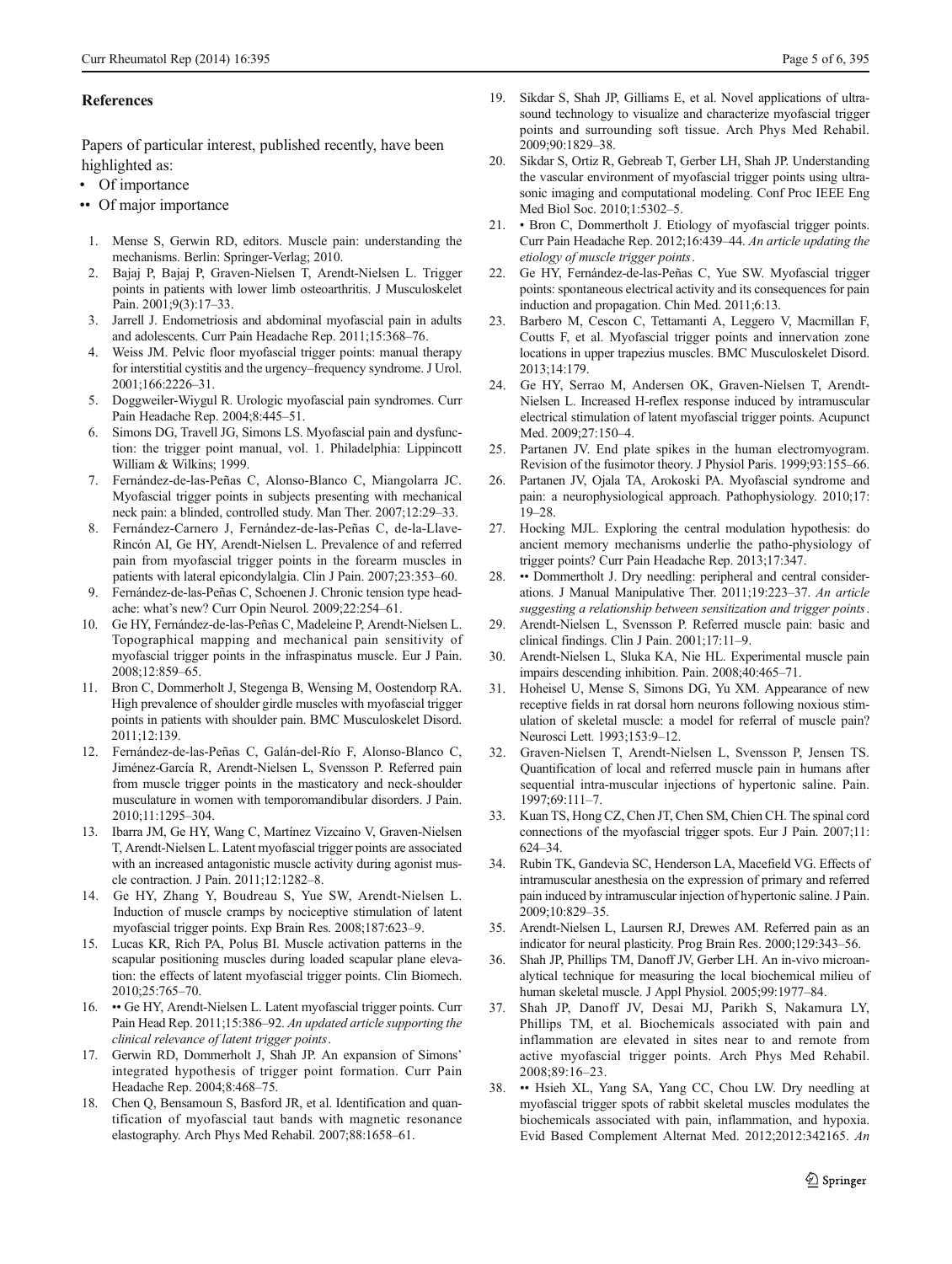## <span id="page-4-0"></span>References

Papers of particular interest, published recently, have been highlighted as:

- Of importance
- •• Of major importance
- 1. Mense S, Gerwin RD, editors. Muscle pain: understanding the mechanisms. Berlin: Springer-Verlag; 2010.
- 2. Bajaj P, Bajaj P, Graven-Nielsen T, Arendt-Nielsen L. Trigger points in patients with lower limb osteoarthritis. J Musculoskelet Pain. 2001;9(3):17–33.
- 3. Jarrell J. Endometriosis and abdominal myofascial pain in adults and adolescents. Curr Pain Headache Rep. 2011;15:368–76.
- Weiss JM. Pelvic floor myofascial trigger points: manual therapy for interstitial cystitis and the urgency–frequency syndrome. J Urol. 2001;166:2226–31.
- 5. Doggweiler-Wiygul R. Urologic myofascial pain syndromes. Curr Pain Headache Rep. 2004;8:445–51.
- Simons DG, Travell JG, Simons LS. Myofascial pain and dysfunction: the trigger point manual, vol. 1. Philadelphia: Lippincott William & Wilkins; 1999.
- 7. Fernández-de-las-Peñas C, Alonso-Blanco C, Miangolarra JC. Myofascial trigger points in subjects presenting with mechanical neck pain: a blinded, controlled study. Man Ther. 2007;12:29–33.
- 8. Fernández-Carnero J, Fernández-de-las-Peñas C, de-la-Llave-Rincón AI, Ge HY, Arendt-Nielsen L. Prevalence of and referred pain from myofascial trigger points in the forearm muscles in patients with lateral epicondylalgia. Clin J Pain. 2007;23:353–60.
- 9. Fernández-de-las-Peñas C, Schoenen J. Chronic tension type headache: what's new? Curr Opin Neurol. 2009;22:254–61.
- 10. Ge HY, Fernández-de-las-Peñas C, Madeleine P, Arendt-Nielsen L. Topographical mapping and mechanical pain sensitivity of myofascial trigger points in the infraspinatus muscle. Eur J Pain. 2008;12:859–65.
- 11. Bron C, Dommerholt J, Stegenga B, Wensing M, Oostendorp RA. High prevalence of shoulder girdle muscles with myofascial trigger points in patients with shoulder pain. BMC Musculoskelet Disord. 2011;12:139.
- 12. Fernández-de-las-Peñas C, Galán-del-Río F, Alonso-Blanco C, Jiménez-García R, Arendt-Nielsen L, Svensson P. Referred pain from muscle trigger points in the masticatory and neck-shoulder musculature in women with temporomandibular disorders. J Pain. 2010;11:1295–304.
- 13. Ibarra JM, Ge HY, Wang C, Martínez Vizcaíno V, Graven-Nielsen T, Arendt-Nielsen L. Latent myofascial trigger points are associated with an increased antagonistic muscle activity during agonist muscle contraction. J Pain. 2011;12:1282–8.
- 14. Ge HY, Zhang Y, Boudreau S, Yue SW, Arendt-Nielsen L. Induction of muscle cramps by nociceptive stimulation of latent myofascial trigger points. Exp Brain Res. 2008;187:623–9.
- 15. Lucas KR, Rich PA, Polus BI. Muscle activation patterns in the scapular positioning muscles during loaded scapular plane elevation: the effects of latent myofascial trigger points. Clin Biomech. 2010;25:765–70.
- 16. •• Ge HY, Arendt-Nielsen L. Latent myofascial trigger points. Curr Pain Head Rep. 2011;15:386–92. An updated article supporting the clinical relevance of latent trigger points.
- 17. Gerwin RD, Dommerholt J, Shah JP. An expansion of Simons' integrated hypothesis of trigger point formation. Curr Pain Headache Rep. 2004;8:468–75.
- 18. Chen Q, Bensamoun S, Basford JR, et al. Identification and quantification of myofascial taut bands with magnetic resonance elastography. Arch Phys Med Rehabil. 2007;88:1658–61.
- 19. Sikdar S, Shah JP, Gilliams E, et al. Novel applications of ultrasound technology to visualize and characterize myofascial trigger points and surrounding soft tissue. Arch Phys Med Rehabil. 2009;90:1829–38.
- 20. Sikdar S, Ortiz R, Gebreab T, Gerber LH, Shah JP. Understanding the vascular environment of myofascial trigger points using ultrasonic imaging and computational modeling. Conf Proc IEEE Eng Med Biol Soc. 2010;1:5302–5.
- 21. Bron C, Dommertholt J. Etiology of myofascial trigger points. Curr Pain Headache Rep. 2012;16:439–44. An article updating the etiology of muscle trigger points.
- 22. Ge HY, Fernández-de-las-Peñas C, Yue SW. Myofascial trigger points: spontaneous electrical activity and its consequences for pain induction and propagation. Chin Med. 2011;6:13.
- 23. Barbero M, Cescon C, Tettamanti A, Leggero V, Macmillan F, Coutts F, et al. Myofascial trigger points and innervation zone locations in upper trapezius muscles. BMC Musculoskelet Disord. 2013;14:179.
- 24. Ge HY, Serrao M, Andersen OK, Graven-Nielsen T, Arendt-Nielsen L. Increased H-reflex response induced by intramuscular electrical stimulation of latent myofascial trigger points. Acupunct Med. 2009;27:150–4.
- 25. Partanen JV. End plate spikes in the human electromyogram. Revision of the fusimotor theory. J Physiol Paris. 1999;93:155–66.
- 26. Partanen JV, Ojala TA, Arokoski PA. Myofascial syndrome and pain: a neurophysiological approach. Pathophysiology. 2010;17: 19–28.
- 27. Hocking MJL. Exploring the central modulation hypothesis: do ancient memory mechanisms underlie the patho-physiology of trigger points? Curr Pain Headache Rep. 2013;17:347.
- 28. •• Dommertholt J. Dry needling: peripheral and central considerations. J Manual Manipulative Ther. 2011;19:223–37. An article suggesting a relationship between sensitization and trigger points.
- 29. Arendt-Nielsen L, Svensson P. Referred muscle pain: basic and clinical findings. Clin J Pain. 2001;17:11–9.
- 30. Arendt-Nielsen L, Sluka KA, Nie HL. Experimental muscle pain impairs descending inhibition. Pain. 2008;40:465–71.
- 31. Hoheisel U, Mense S, Simons DG, Yu XM. Appearance of new receptive fields in rat dorsal horn neurons following noxious stimulation of skeletal muscle: a model for referral of muscle pain? Neurosci Lett. 1993;153:9–12.
- 32. Graven-Nielsen T, Arendt-Nielsen L, Svensson P, Jensen TS. Quantification of local and referred muscle pain in humans after sequential intra-muscular injections of hypertonic saline. Pain. 1997;69:111–7.
- 33. Kuan TS, Hong CZ, Chen JT, Chen SM, Chien CH. The spinal cord connections of the myofascial trigger spots. Eur J Pain. 2007;11: 624–34.
- 34. Rubin TK, Gandevia SC, Henderson LA, Macefield VG. Effects of intramuscular anesthesia on the expression of primary and referred pain induced by intramuscular injection of hypertonic saline. J Pain. 2009;10:829–35.
- 35. Arendt-Nielsen L, Laursen RJ, Drewes AM. Referred pain as an indicator for neural plasticity. Prog Brain Res. 2000;129:343–56.
- 36. Shah JP, Phillips TM, Danoff JV, Gerber LH. An in-vivo microanalytical technique for measuring the local biochemical milieu of human skeletal muscle. J Appl Physiol. 2005;99:1977–84.
- 37. Shah JP, Danoff JV, Desai MJ, Parikh S, Nakamura LY, Phillips TM, et al. Biochemicals associated with pain and inflammation are elevated in sites near to and remote from active myofascial trigger points. Arch Phys Med Rehabil. 2008;89:16–23.
- 38. •• Hsieh XL, Yang SA, Yang CC, Chou LW. Dry needling at myofascial trigger spots of rabbit skeletal muscles modulates the biochemicals associated with pain, inflammation, and hypoxia. Evid Based Complement Alternat Med. 2012;2012:342165. An